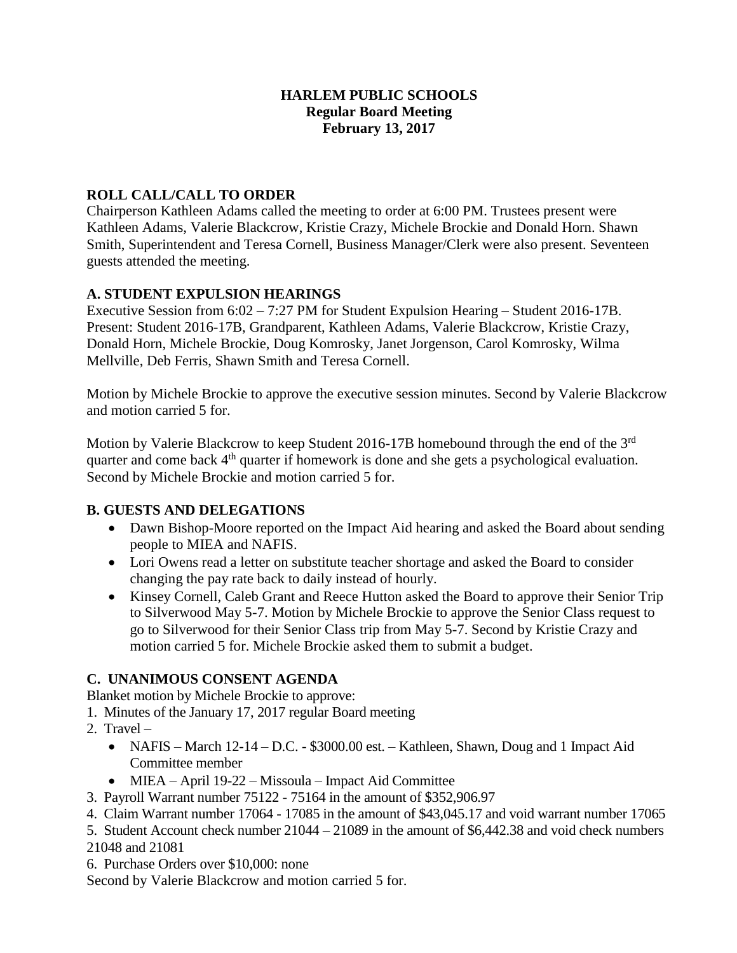## **HARLEM PUBLIC SCHOOLS Regular Board Meeting February 13, 2017**

## **ROLL CALL/CALL TO ORDER**

Chairperson Kathleen Adams called the meeting to order at 6:00 PM. Trustees present were Kathleen Adams, Valerie Blackcrow, Kristie Crazy, Michele Brockie and Donald Horn. Shawn Smith, Superintendent and Teresa Cornell, Business Manager/Clerk were also present. Seventeen guests attended the meeting.

## **A. STUDENT EXPULSION HEARINGS**

Executive Session from 6:02 – 7:27 PM for Student Expulsion Hearing – Student 2016-17B. Present: Student 2016-17B, Grandparent, Kathleen Adams, Valerie Blackcrow, Kristie Crazy, Donald Horn, Michele Brockie, Doug Komrosky, Janet Jorgenson, Carol Komrosky, Wilma Mellville, Deb Ferris, Shawn Smith and Teresa Cornell.

Motion by Michele Brockie to approve the executive session minutes. Second by Valerie Blackcrow and motion carried 5 for.

Motion by Valerie Blackcrow to keep Student 2016-17B homebound through the end of the 3<sup>rd</sup> quarter and come back 4<sup>th</sup> quarter if homework is done and she gets a psychological evaluation. Second by Michele Brockie and motion carried 5 for.

# **B. GUESTS AND DELEGATIONS**

- Dawn Bishop-Moore reported on the Impact Aid hearing and asked the Board about sending people to MIEA and NAFIS.
- Lori Owens read a letter on substitute teacher shortage and asked the Board to consider changing the pay rate back to daily instead of hourly.
- Kinsey Cornell, Caleb Grant and Reece Hutton asked the Board to approve their Senior Trip to Silverwood May 5-7. Motion by Michele Brockie to approve the Senior Class request to go to Silverwood for their Senior Class trip from May 5-7. Second by Kristie Crazy and motion carried 5 for. Michele Brockie asked them to submit a budget.

# **C. UNANIMOUS CONSENT AGENDA**

Blanket motion by Michele Brockie to approve:

- 1. Minutes of the January 17, 2017 regular Board meeting
- 2. Travel
	- NAFIS March 12-14 D.C. \$3000.00 est. Kathleen, Shawn, Doug and 1 Impact Aid Committee member
	- MIEA April 19-22 Missoula Impact Aid Committee
- 3. Payroll Warrant number 75122 75164 in the amount of \$352,906.97
- 4. Claim Warrant number 17064 17085 in the amount of \$43,045.17 and void warrant number 17065

5. Student Account check number 21044 – 21089 in the amount of \$6,442.38 and void check numbers 21048 and 21081

6. Purchase Orders over \$10,000: none

Second by Valerie Blackcrow and motion carried 5 for.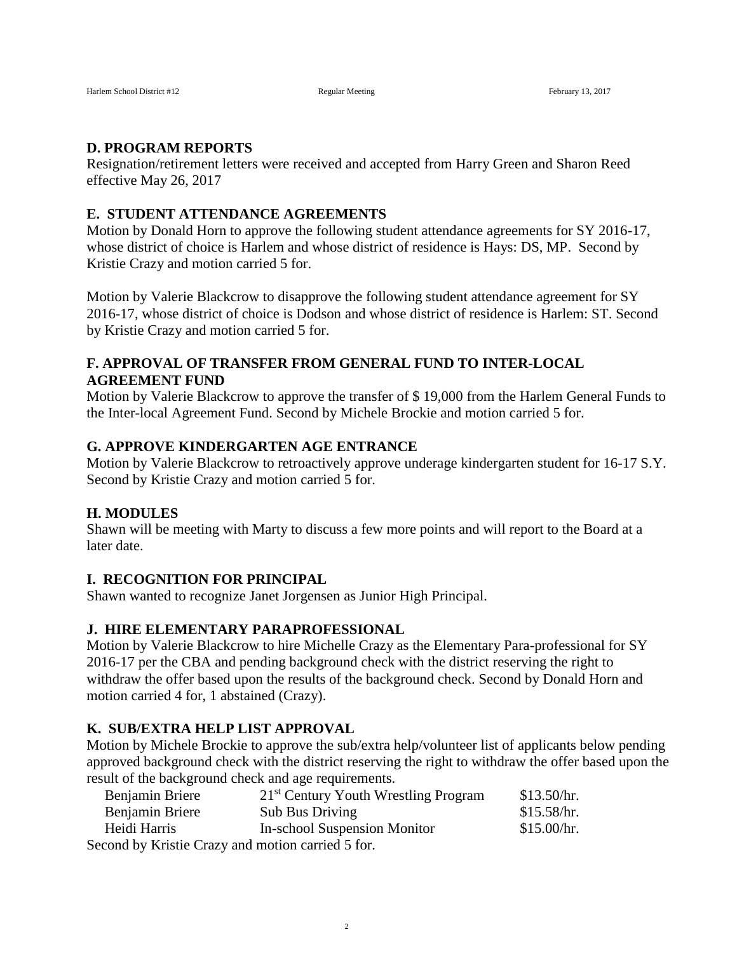#### **D. PROGRAM REPORTS**

Resignation/retirement letters were received and accepted from Harry Green and Sharon Reed effective May 26, 2017

#### **E. STUDENT ATTENDANCE AGREEMENTS**

Motion by Donald Horn to approve the following student attendance agreements for SY 2016-17, whose district of choice is Harlem and whose district of residence is Hays: DS, MP. Second by Kristie Crazy and motion carried 5 for.

Motion by Valerie Blackcrow to disapprove the following student attendance agreement for SY 2016-17, whose district of choice is Dodson and whose district of residence is Harlem: ST. Second by Kristie Crazy and motion carried 5 for.

## **F. APPROVAL OF TRANSFER FROM GENERAL FUND TO INTER-LOCAL AGREEMENT FUND**

Motion by Valerie Blackcrow to approve the transfer of \$ 19,000 from the Harlem General Funds to the Inter-local Agreement Fund. Second by Michele Brockie and motion carried 5 for.

### **G. APPROVE KINDERGARTEN AGE ENTRANCE**

Motion by Valerie Blackcrow to retroactively approve underage kindergarten student for 16-17 S.Y. Second by Kristie Crazy and motion carried 5 for.

#### **H. MODULES**

Shawn will be meeting with Marty to discuss a few more points and will report to the Board at a later date.

#### **I. RECOGNITION FOR PRINCIPAL**

Shawn wanted to recognize Janet Jorgensen as Junior High Principal.

#### **J. HIRE ELEMENTARY PARAPROFESSIONAL**

Motion by Valerie Blackcrow to hire Michelle Crazy as the Elementary Para-professional for SY 2016-17 per the CBA and pending background check with the district reserving the right to withdraw the offer based upon the results of the background check. Second by Donald Horn and motion carried 4 for, 1 abstained (Crazy).

#### **K. SUB/EXTRA HELP LIST APPROVAL**

Motion by Michele Brockie to approve the sub/extra help/volunteer list of applicants below pending approved background check with the district reserving the right to withdraw the offer based upon the result of the background check and age requirements.

| Benjamin Briere                                   | 21 <sup>st</sup> Century Youth Wrestling Program | \$13.50/hr. |
|---------------------------------------------------|--------------------------------------------------|-------------|
| Benjamin Briere                                   | <b>Sub Bus Driving</b>                           | \$15.58/hr. |
| Heidi Harris                                      | In-school Suspension Monitor                     | \$15.00/hr. |
| Second by Kristie Crazy and motion carried 5 for. |                                                  |             |

2